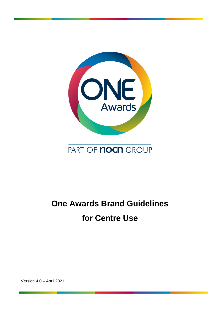

## PART OF **nocn** GROUP

# **One Awards Brand Guidelines for Centre Use**

Version 4.0 – April 2021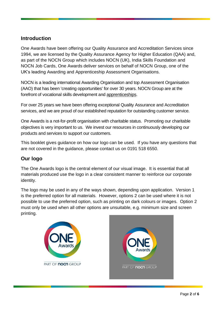#### **Introduction**

One Awards have been offering our Quality Assurance and Accreditation Services since 1994, we are licensed by the Quality Assurance Agency for Higher Education (QAA) and, as part of the NOCN Group which includes NOCN (UK), India Skills Foundation and NOCN Job Cards, One Awards deliver services on behalf of NOCN Group, one of the UK's leading Awarding and Apprenticeship Assessment Organisations.

NOCN is a leading international Awarding Organisation and top Assessment Organisation (AAO) that has been 'creating opportunities' for over 30 years. NOCN Group are at the forefront of vocational skills development and [apprenticeships.](http://www.nocn.org.uk/nocn-apprenticeships)

For over 25 years we have been offering exceptional Quality Assurance and Accreditation services, and we are proud of our established reputation for outstanding customer service.

One Awards is a not-for-profit organisation with charitable status. Promoting our charitable objectives is very important to us. We invest our resources in continuously developing our products and services to support our customers.

This booklet gives guidance on how our logo can be used. If you have any questions that are not covered in the guidance, please contact us on 0191 518 6550.

#### **Our logo**

The One Awards logo is the central element of our visual image. It is essential that all materials produced use the logo in a clear consistent manner to reinforce our corporate identity.

The logo may be used in any of the ways shown, depending upon application. Version 1 is the preferred option for all materials. However, options 2 can be used where it is not possible to use the preferred option, such as printing on dark colours or images. Option 2 must only be used when all other options are unsuitable, e.g. minimum size and screen printing.



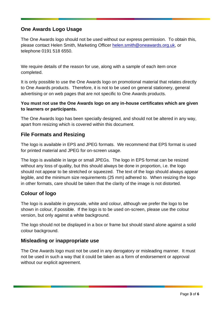### **One Awards Logo Usage**

The One Awards logo should not be used without our express permission. To obtain this, please contact Helen Smith, Marketing Officer [helen.smith@oneawards.org.uk,](mailto:helen.smith@oneawards.org.uk) or telephone 0191 518 6550.

We require details of the reason for use, along with a sample of each item once completed.

It is only possible to use the One Awards logo on promotional material that relates directly to One Awards products. Therefore, it is not to be used on general stationery, general advertising or on web pages that are not specific to One Awards products.

#### **You must not use the One Awards logo on any in-house certificates which are given to learners or participants.**

The One Awards logo has been specially designed, and should not be altered in any way, apart from resizing which is covered within this document.

#### **File Formats and Resizing**

The logo is available in EPS and JPEG formats. We recommend that EPS format is used for printed material and JPEG for on-screen usage.

The logo is available in large or small JPEGs. The logo in EPS format can be resized without any loss of quality, but this should always be done in proportion, i.e. the logo should not appear to be stretched or squeezed. The text of the logo should always appear legible, and the minimum size requirements (25 mm) adhered to. When resizing the logo in other formats, care should be taken that the clarity of the image is not distorted.

#### **Colour of logo**

The logo is available in greyscale, white and colour, although we prefer the logo to be shown in colour, if possible. If the logo is to be used on-screen, please use the colour version, but only against a white background.

The logo should not be displayed in a box or frame but should stand alone against a solid colour background.

#### **Misleading or inappropriate use**

The One Awards logo must not be used in any derogatory or misleading manner. It must not be used in such a way that it could be taken as a form of endorsement or approval without our explicit agreement.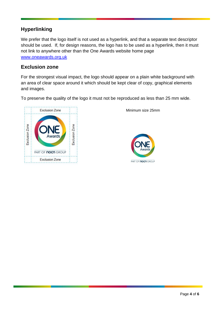#### **Hyperlinking**

We prefer that the logo itself is not used as a hyperlink, and that a separate text descriptor should be used. If, for design reasons, the logo has to be used as a hyperlink, then it must not link to anywhere other than the One Awards website home page [www.oneawards.org.uk](http://www.oneawards.org.uk/)

#### **Exclusion zone**

For the strongest visual impact, the logo should appear on a plain white background with an area of clear space around it which should be kept clear of copy, graphical elements and images.

To preserve the quality of the logo it must not be reproduced as less than 25 mm wide.



Minimum size 25mm

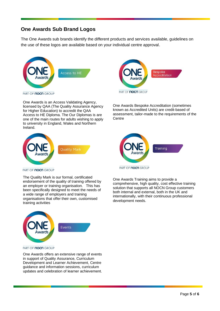### **One Awards Sub Brand Logos**

The One Awards sub brands identify the different products and services available, guidelines on the use of these logos are available based on your individual centre approval.



PART OF **nocn** GROUP

One Awards is an Access Validating Agency, licensed by QAA (The Quality Assurance Agency for Higher Education) to accredit the QAA Access to HE Diploma. The Our Diplomas is are one of the main routes for adults wishing to apply to university in England, Wales and Northern Ireland.





One Awards Bespoke Accreditation (sometimes known as Accredited Units) are credit-based of assessment, tailor-made to the requirements of the **Centre** 



#### PART OF **nocn** GROUP

The Quality Mark is our formal, certificated endorsement of the quality of training offered by an employer or training organisation. This has been specifically designed to meet the needs of a wide range of employers and training organisations that offer their own, customised training activities

One Awards Training aims to provide a comprehensive, high quality, cost effective training solution that supports all NOCN Group customers both internal and external, both in the UK and internationally, with their continuous professional development needs.



PART OF **nocn** GROUP

One Awards offers an extensive range of events in support of Quality Assurance, Curriculum Development and Learner Achievement, Centre guidance and information sessions, curriculum updates and celebration of learner achievement.